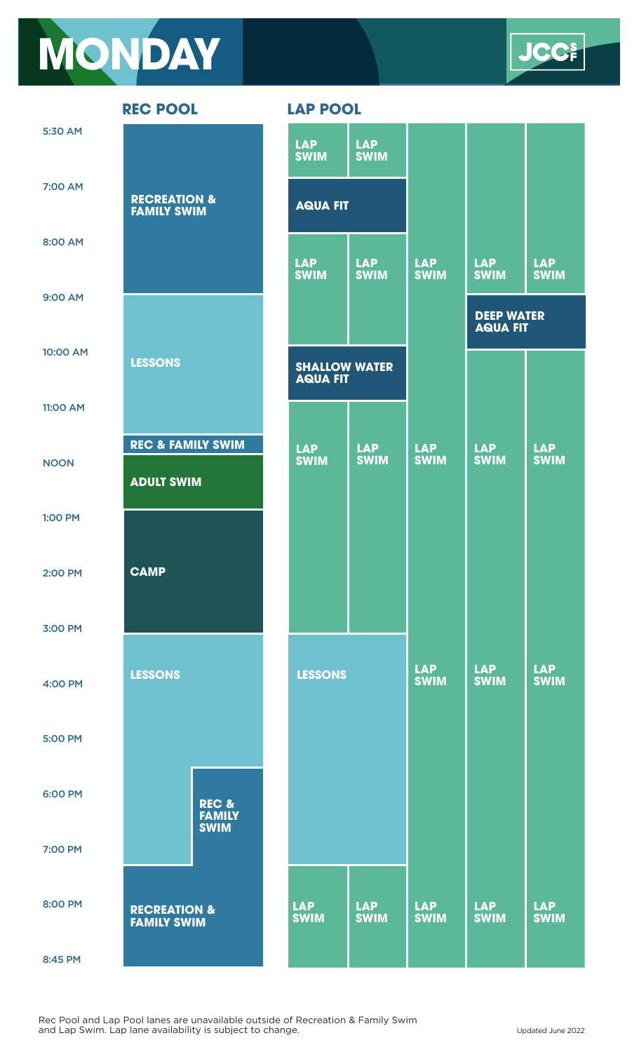## **MONDAY**

**JCC-**

| 5:30 AM        |                                                   |                        | <b>LAP</b><br><b>SWIM</b>               | <b>LAP</b><br><b>SWIM</b> |                           |                                      |                           |
|----------------|---------------------------------------------------|------------------------|-----------------------------------------|---------------------------|---------------------------|--------------------------------------|---------------------------|
| 7:00 AM        | <b>RECREATION &amp;</b><br><b>FAMILY SWIM</b>     |                        | <b>AQUA FIT</b>                         |                           |                           |                                      |                           |
| 8:00 AM        |                                                   |                        | <b>LAP</b><br><b>SWIM</b>               | <b>LAP</b><br><b>SWIM</b> | <b>LAP</b><br><b>SWIM</b> | <b>LAP</b><br><b>SWIM</b>            | <b>LAP</b><br><b>SWIM</b> |
| 9:00 AM        |                                                   |                        |                                         |                           |                           | <b>DEEP WATER</b><br><b>AQUA FIT</b> |                           |
| 10:00 AM       | <b>LESSONS</b>                                    |                        | <b>SHALLOW WATER</b><br><b>AQUA FIT</b> |                           |                           |                                      |                           |
| 11:00 AM       |                                                   |                        |                                         |                           |                           |                                      |                           |
| <b>NOON</b>    | <b>REC &amp; FAMILY SWIM</b><br><b>ADULT SWIM</b> |                        | <b>LAP</b><br><b>SWIM</b>               | <b>LAP</b><br><b>SWIM</b> | <b>LAP</b><br><b>SWIM</b> | <b>LAP</b><br><b>SWIM</b>            | <b>LAP</b><br><b>SWIM</b> |
| <b>1:00 PM</b> |                                                   |                        |                                         |                           |                           |                                      |                           |
| 2:00 PM        | <b>CAMP</b>                                       |                        |                                         |                           |                           |                                      |                           |
| 3:00 PM        |                                                   |                        |                                         |                           |                           |                                      |                           |
| 4:00 PM        | <b>LESSONS</b>                                    |                        | <b>LESSONS</b>                          |                           | <b>LAP</b><br><b>SWIM</b> | <b>LAP</b><br><b>SWIM</b>            | <b>LAP</b><br><b>SWIM</b> |
| <b>5:00 PM</b> |                                                   |                        |                                         |                           |                           |                                      |                           |
| 6:00 PM        |                                                   | REC &<br><b>FAMILY</b> |                                         |                           |                           |                                      |                           |
| 7:00 PM        |                                                   | <b>SWIM</b>            |                                         |                           |                           |                                      |                           |
| 8:00 PM        | <b>RECREATION &amp;</b><br><b>FAMILY SWIM</b>     |                        | <b>LAP</b><br><b>SWIM</b>               | <b>LAP</b><br><b>SWIM</b> | <b>LAP</b><br><b>SWIM</b> | <b>LAP</b><br><b>SWIM</b>            | <b>LAP</b><br><b>SWIM</b> |
| 8:45 PM        |                                                   |                        |                                         |                           |                           |                                      |                           |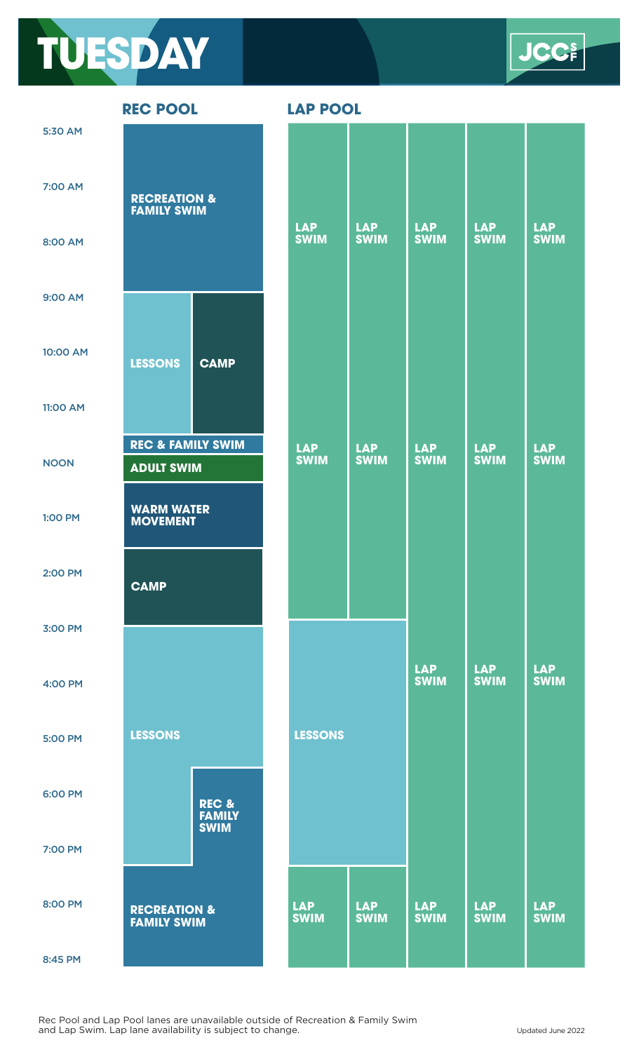

**REC POOL LAP POOL**

|                | <b>KEY PUUL</b>                                   |                        | LAP PUUL                  |                           |                           |                           |                           |
|----------------|---------------------------------------------------|------------------------|---------------------------|---------------------------|---------------------------|---------------------------|---------------------------|
| 5:30 AM        |                                                   |                        |                           |                           |                           |                           |                           |
| <b>7:00 AM</b> | <b>RECREATION &amp;</b><br><b>FAMILY SWIM</b>     |                        |                           |                           |                           |                           |                           |
| 8:00 AM        |                                                   |                        | <b>LAP</b><br><b>SWIM</b> | <b>LAP</b><br><b>SWIM</b> | <b>LAP</b><br><b>SWIM</b> | <b>LAP</b><br><b>SWIM</b> | <b>LAP</b><br><b>SWIM</b> |
| 9:00 AM        |                                                   |                        |                           |                           |                           |                           |                           |
| 10:00 AM       | <b>LESSONS</b>                                    | <b>CAMP</b>            |                           |                           |                           |                           |                           |
| 11:00 AM       |                                                   |                        |                           |                           |                           |                           |                           |
| <b>NOON</b>    | <b>REC &amp; FAMILY SWIM</b><br><b>ADULT SWIM</b> |                        | <b>LAP</b><br><b>SWIM</b> | <b>LAP</b><br><b>SWIM</b> | <b>LAP</b><br><b>SWIM</b> | <b>LAP</b><br><b>SWIM</b> | <b>LAP</b><br><b>SWIM</b> |
| 1:00 PM        | <b>WARM WATER</b><br><b>MOVEMENT</b>              |                        |                           |                           |                           |                           |                           |
| 2:00 PM        | <b>CAMP</b>                                       |                        |                           |                           |                           |                           |                           |
| 3:00 PM        |                                                   |                        |                           |                           |                           |                           |                           |
| 4:00 PM        |                                                   |                        |                           |                           | <b>LAP</b><br><b>SWIM</b> | <b>LAP</b><br><b>SWIM</b> | <b>LAP</b><br><b>SWIM</b> |
| <b>5:00 PM</b> | <b>LESSONS</b>                                    |                        | <b>LESSONS</b>            |                           |                           |                           |                           |
| 6:00 PM        |                                                   | REC &<br><b>FAMILY</b> |                           |                           |                           |                           |                           |
| 7:00 PM        |                                                   | <b>SWIM</b>            |                           |                           |                           |                           |                           |
| 8:00 PM        | <b>RECREATION &amp;</b><br><b>FAMILY SWIM</b>     |                        | <b>LAP</b><br><b>SWIM</b> | <b>LAP</b><br><b>SWIM</b> | <b>LAP</b><br><b>SWIM</b> | <b>LAP</b><br><b>SWIM</b> | <b>LAP</b><br><b>SWIM</b> |
| 8:45 PM        |                                                   |                        |                           |                           |                           |                           |                           |

Rec Pool and Lap Pool lanes are unavailable outside of Recreation & Family Swim and Lap Swim. Lap lane availability is subject to change. Updated June 2022

**ICC**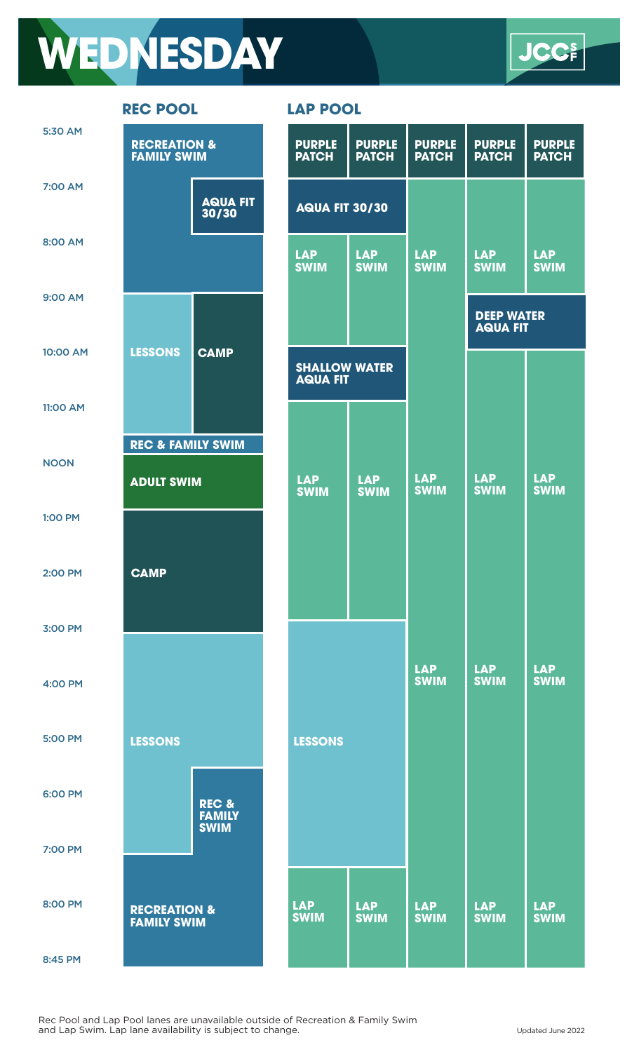## **WEDNESDAY**



| 5:30 AM        | <b>RECREATION &amp;</b><br><b>FAMILY SWIM</b>     |                          | <b>PURPLE</b><br><b>PURPLE</b><br><b>PATCH</b><br><b>PATCH</b> |                           | <b>PURPLE</b><br><b>PATCH</b> | <b>PURPLE</b><br><b>PATCH</b>        | <b>PURPLE</b><br><b>PATCH</b> |
|----------------|---------------------------------------------------|--------------------------|----------------------------------------------------------------|---------------------------|-------------------------------|--------------------------------------|-------------------------------|
| 7:00 AM        |                                                   | <b>AQUA FIT</b><br>30/30 | <b>AQUA FIT 30/30</b>                                          |                           |                               |                                      |                               |
| 8:00 AM        |                                                   |                          | <b>LAP</b><br><b>SWIM</b>                                      | <b>LAP</b><br><b>SWIM</b> | <b>LAP</b><br><b>SWIM</b>     | <b>LAP</b><br><b>SWIM</b>            | <b>LAP</b><br><b>SWIM</b>     |
| 9:00 AM        |                                                   |                          |                                                                |                           |                               | <b>DEEP WATER</b><br><b>AQUA FIT</b> |                               |
| 10:00 AM       | <b>LESSONS</b>                                    | <b>CAMP</b>              | <b>SHALLOW WATER</b><br><b>AQUA FIT</b>                        |                           |                               |                                      |                               |
| 11:00 AM       |                                                   |                          |                                                                |                           |                               |                                      |                               |
| <b>NOON</b>    | <b>REC &amp; FAMILY SWIM</b><br><b>ADULT SWIM</b> |                          | <b>LAP</b><br><b>SWIM</b>                                      | <b>LAP</b><br><b>SWIM</b> | <b>LAP</b><br><b>SWIM</b>     | <b>LAP</b><br><b>SWIM</b>            | <b>LAP</b><br><b>SWIM</b>     |
| <b>1:00 PM</b> |                                                   |                          |                                                                |                           |                               |                                      |                               |
| 2:00 PM        | <b>CAMP</b>                                       |                          |                                                                |                           |                               |                                      |                               |
| 3:00 PM        |                                                   |                          |                                                                |                           |                               |                                      |                               |
| 4:00 PM        |                                                   |                          |                                                                |                           | <b>LAP</b><br><b>SWIM</b>     | <b>LAP</b><br><b>SWIM</b>            | <b>LAP</b><br><b>SWIM</b>     |
| 5:00 PM        | <b>LESSONS</b>                                    |                          | <b>LESSONS</b>                                                 |                           |                               |                                      |                               |
| 6:00 PM        |                                                   | REC &<br><b>FAMILY</b>   |                                                                |                           |                               |                                      |                               |
| 7:00 PM        |                                                   | <b>SWIM</b>              |                                                                |                           |                               |                                      |                               |
| 8:00 PM        | <b>RECREATION &amp;</b><br><b>FAMILY SWIM</b>     |                          | <b>LAP</b><br><b>SWIM</b>                                      | <b>LAP</b><br><b>SWIM</b> | <b>LAP</b><br><b>SWIM</b>     | <b>LAP</b><br><b>SWIM</b>            | <b>LAP</b><br><b>SWIM</b>     |
| 8:45 PM        |                                                   |                          |                                                                |                           |                               |                                      |                               |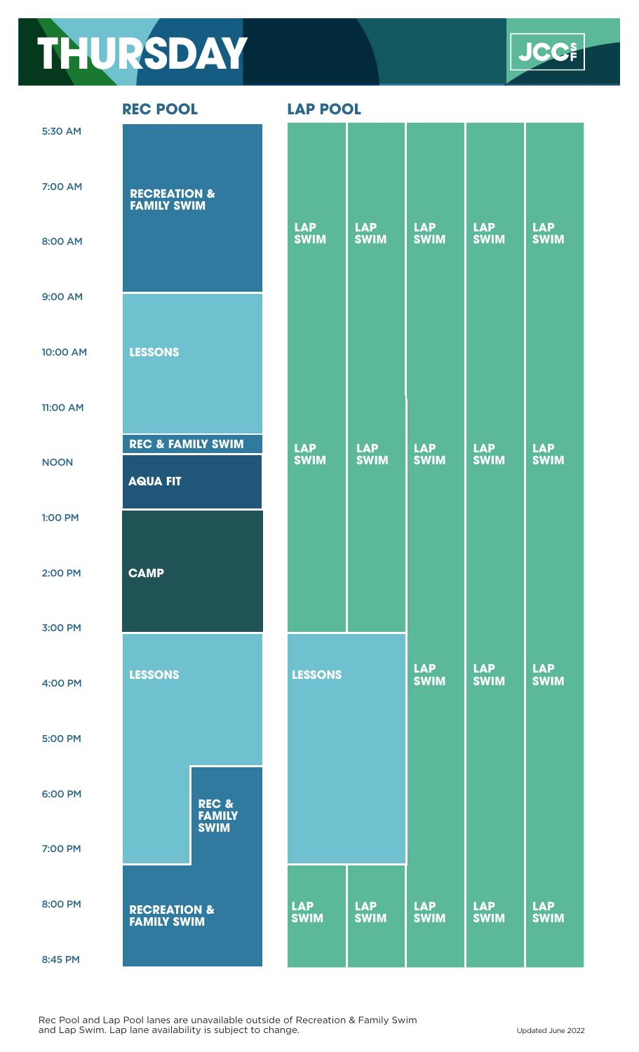## **THURSDAY**

**JCC** 

**REC POOL LAP POOL**

|                | KLY LOOF                                        |                                       | LAF FUUL                  |                           |                           |                           |                           |
|----------------|-------------------------------------------------|---------------------------------------|---------------------------|---------------------------|---------------------------|---------------------------|---------------------------|
| 5:30 AM        |                                                 |                                       |                           |                           |                           |                           |                           |
| 7:00 AM        | <b>RECREATION &amp;</b><br><b>FAMILY SWIM</b>   |                                       |                           |                           |                           |                           |                           |
| 8:00 AM        |                                                 |                                       | <b>LAP</b><br><b>SWIM</b> | <b>LAP</b><br><b>SWIM</b> | <b>LAP</b><br><b>SWIM</b> | <b>LAP</b><br><b>SWIM</b> | <b>LAP</b><br><b>SWIM</b> |
| 9:00 AM        |                                                 |                                       |                           |                           |                           |                           |                           |
| 10:00 AM       | <b>LESSONS</b>                                  |                                       |                           |                           |                           |                           |                           |
| 11:00 AM       |                                                 |                                       |                           |                           |                           |                           |                           |
| <b>NOON</b>    | <b>REC &amp; FAMILY SWIM</b><br><b>AQUA FIT</b> |                                       | <b>LAP</b><br><b>SWIM</b> | <b>LAP</b><br><b>SWIM</b> | <b>LAP</b><br><b>SWIM</b> | <b>LAP</b><br><b>SWIM</b> | <b>LAP</b><br><b>SWIM</b> |
| 1:00 PM        |                                                 |                                       |                           |                           |                           |                           |                           |
| 2:00 PM        | <b>CAMP</b>                                     |                                       |                           |                           |                           |                           |                           |
| 3:00 PM        |                                                 |                                       |                           |                           |                           |                           |                           |
| 4:00 PM        | <b>LESSONS</b>                                  |                                       | <b>LESSONS</b>            |                           | <b>LAP</b><br><b>SWIM</b> | <b>LAP</b><br><b>SWIM</b> | <b>LAP</b><br><b>SWIM</b> |
| <b>5:00 PM</b> |                                                 |                                       |                           |                           |                           |                           |                           |
| 6:00 PM        |                                                 | REC &<br><b>FAMILY</b><br><b>SWIM</b> |                           |                           |                           |                           |                           |
| 7:00 PM        |                                                 |                                       |                           |                           |                           |                           |                           |
| 8:00 PM        | <b>RECREATION &amp;</b><br><b>FAMILY SWIM</b>   |                                       | <b>LAP</b><br><b>SWIM</b> | <b>LAP</b><br><b>SWIM</b> | <b>LAP</b><br><b>SWIM</b> | <b>LAP</b><br><b>SWIM</b> | <b>LAP</b><br><b>SWIM</b> |

8:45 PM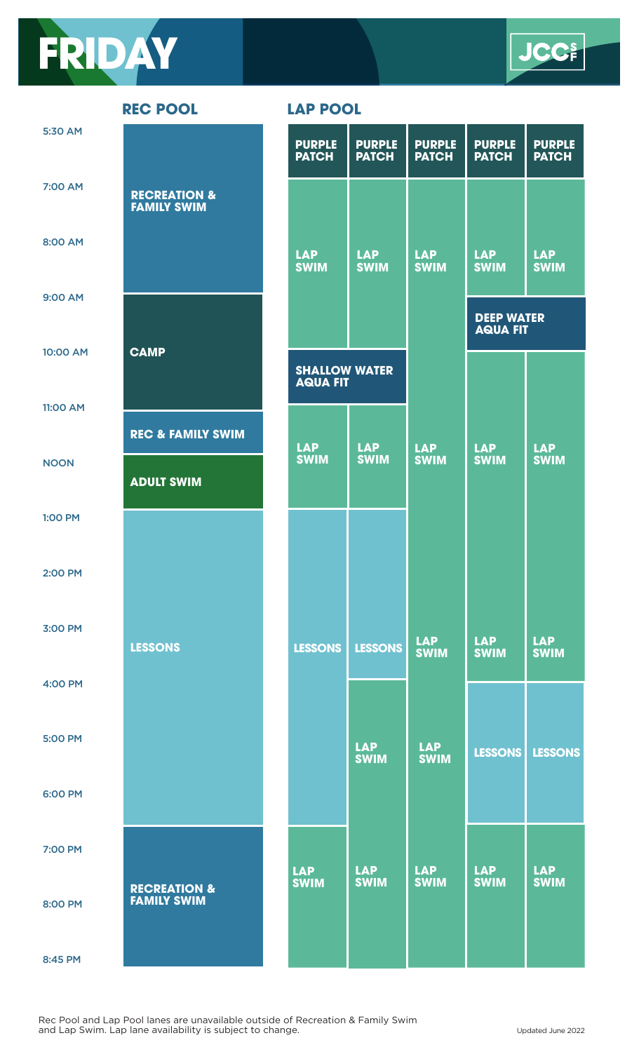



**REC POOL** 

| D). | D, | nol |
|-----|----|-----|
|     |    |     |

| 5:30 AM        |                                               | <b>PURPLE</b><br><b>PATCH</b>           | <b>PURPLE</b><br><b>PATCH</b> | <b>PURPLE</b><br><b>PATCH</b> | <b>PURPLE</b><br><b>PATCH</b>        | <b>PURPLE</b><br><b>PATCH</b> |
|----------------|-----------------------------------------------|-----------------------------------------|-------------------------------|-------------------------------|--------------------------------------|-------------------------------|
| 7:00 AM        | <b>RECREATION &amp;</b><br><b>FAMILY SWIM</b> |                                         |                               |                               |                                      |                               |
| 8:00 AM        |                                               | <b>LAP</b><br><b>SWIM</b>               | <b>LAP</b><br><b>SWIM</b>     | <b>LAP</b><br><b>SWIM</b>     | <b>LAP</b><br><b>SWIM</b>            | <b>LAP</b><br><b>SWIM</b>     |
| 9:00 AM        |                                               |                                         |                               |                               | <b>DEEP WATER</b><br><b>AQUA FIT</b> |                               |
| 10:00 AM       | <b>CAMP</b>                                   | <b>SHALLOW WATER</b><br><b>AQUA FIT</b> |                               |                               |                                      |                               |
| 11:00 AM       | <b>REC &amp; FAMILY SWIM</b>                  |                                         |                               |                               |                                      |                               |
| <b>NOON</b>    | <b>ADULT SWIM</b>                             | <b>LAP</b><br><b>SWIM</b>               | <b>LAP</b><br><b>SWIM</b>     | <b>LAP</b><br><b>SWIM</b>     | <b>LAP</b><br><b>SWIM</b>            | <b>LAP</b><br><b>SWIM</b>     |
| <b>1:00 PM</b> |                                               |                                         |                               |                               |                                      |                               |
| 2:00 PM        |                                               |                                         |                               |                               |                                      |                               |
| 3:00 PM        | <b>LESSONS</b>                                | <b>LESSONS</b>                          | <b>LESSONS</b>                | <b>LAP</b><br><b>SWIM</b>     | <b>LAP</b><br><b>SWIM</b>            | <b>LAP</b><br><b>SWIM</b>     |
| 4:00 PM        |                                               |                                         |                               |                               |                                      |                               |
| <b>5:00 PM</b> |                                               |                                         | <b>LAP</b><br><b>SWIM</b>     | <b>LAP</b><br><b>SWIM</b>     | <b>LESSONS</b>                       | <b>LESSONS</b>                |
| 6:00 PM        |                                               |                                         |                               |                               |                                      |                               |
| 7:00 PM        |                                               | <b>LAP</b>                              | <b>LAP</b>                    | <b>LAP</b>                    | <b>LAP</b>                           | <b>LAP</b>                    |
| 8:00 PM        | <b>RECREATION &amp;</b><br><b>FAMILY SWIM</b> | <b>SWIM</b>                             | <b>SWIM</b>                   | <b>SWIM</b>                   | <b>SWIM</b>                          | <b>SWIM</b>                   |
| 8:45 PM        |                                               |                                         |                               |                               |                                      |                               |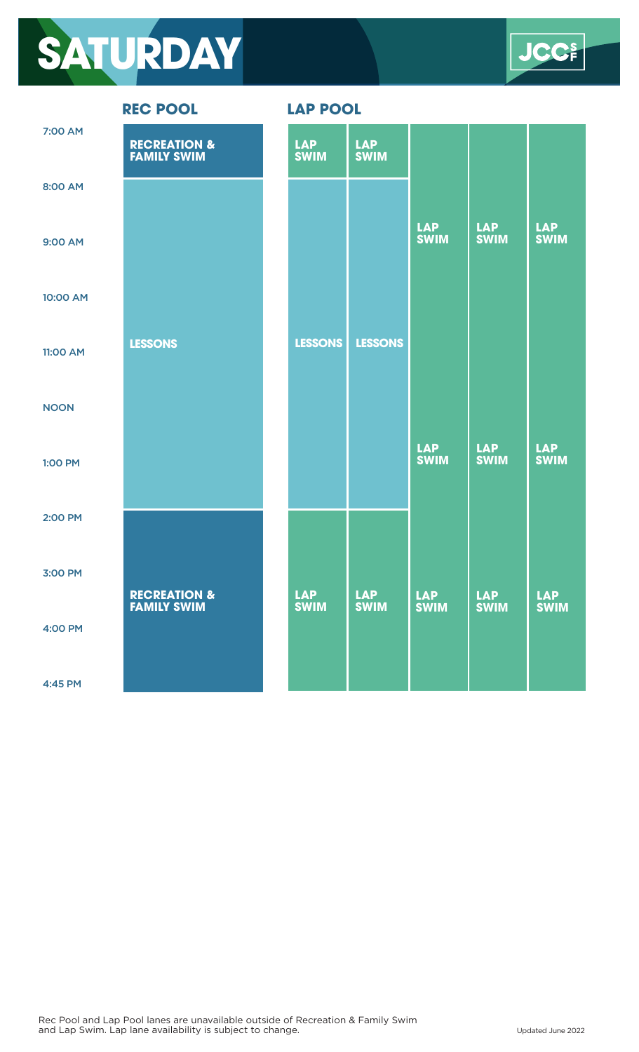## **SATURDAY**

**CCE** 

| 7:00 AM     | <b>RECREATION &amp; FAMILY SWIM</b> | <b>LAP</b><br><b>SWIM</b> | <b>LAP</b><br><b>SWIM</b> |                           |                           |                           |
|-------------|-------------------------------------|---------------------------|---------------------------|---------------------------|---------------------------|---------------------------|
| 8:00 AM     |                                     |                           |                           |                           |                           |                           |
| 9:00 AM     |                                     |                           |                           | <b>LAP</b><br><b>SWIM</b> | <b>LAP</b><br><b>SWIM</b> | <b>LAP</b><br><b>SWIM</b> |
| 10:00 AM    |                                     |                           |                           |                           |                           |                           |
| 11:00 AM    | <b>LESSONS</b>                      | <b>LESSONS</b>            | <b>LESSONS</b>            |                           |                           |                           |
| <b>NOON</b> |                                     |                           |                           |                           |                           |                           |
| 1:00 PM     |                                     |                           |                           | <b>LAP</b><br><b>SWIM</b> | <b>LAP</b><br><b>SWIM</b> | <b>LAP</b><br><b>SWIM</b> |
| 2:00 PM     |                                     |                           |                           |                           |                           |                           |
| 3:00 PM     | <b>RECREATION &amp;</b>             | <b>LAP</b>                | <b>LAP</b>                | <b>LAP</b>                | <b>LAP</b>                | <b>LAP</b>                |
| 4:00 PM     | <b>FAMILY SWIM</b>                  | <b>SWIM</b>               | <b>SWIM</b>               | <b>SWIM</b>               | <b>SWIM</b>               | <b>SWIM</b>               |
| 4:45 PM     |                                     |                           |                           |                           |                           |                           |